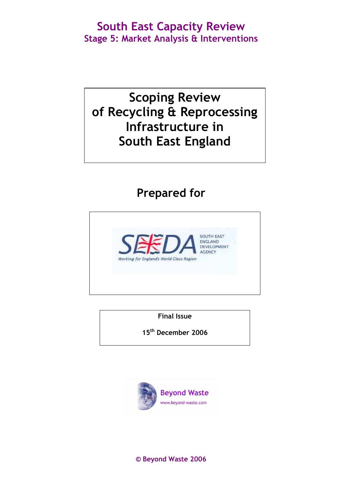# Scoping Review of Recycling & Reprocessing Infrastructure in South East England

# Prepared for



Final Issue

15th December 2006



© Beyond Waste 2006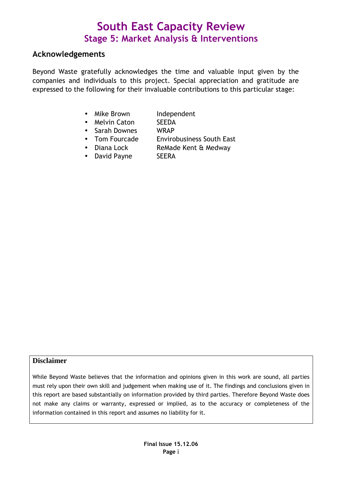### Acknowledgements

Beyond Waste gratefully acknowledges the time and valuable input given by the companies and individuals to this project. Special appreciation and gratitude are expressed to the following for their invaluable contributions to this particular stage:

- Mike Brown Independent
- Melvin Caton SEEDA
- Sarah Downes WRAP
- Tom Fourcade Envirobusiness South East
- Diana Lock ReMade Kent & Medway
- David Payne SEERA

#### **Disclaimer**

While Beyond Waste believes that the information and opinions given in this work are sound, all parties must rely upon their own skill and judgement when making use of it. The findings and conclusions given in this report are based substantially on information provided by third parties. Therefore Beyond Waste does not make any claims or warranty, expressed or implied, as to the accuracy or completeness of the information contained in this report and assumes no liability for it.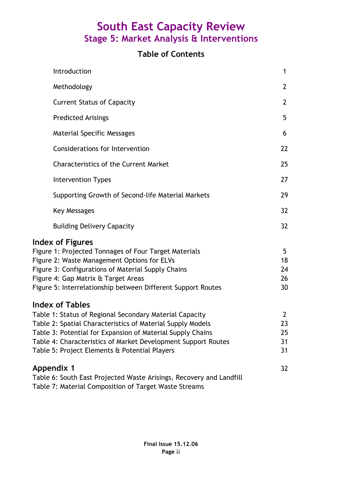### Table of Contents

| Introduction                                                                                                                                                                                                                                                                                                                    | $\mathbf 1$                            |
|---------------------------------------------------------------------------------------------------------------------------------------------------------------------------------------------------------------------------------------------------------------------------------------------------------------------------------|----------------------------------------|
| Methodology                                                                                                                                                                                                                                                                                                                     | $\overline{2}$                         |
| <b>Current Status of Capacity</b>                                                                                                                                                                                                                                                                                               | $\overline{2}$                         |
| <b>Predicted Arisings</b>                                                                                                                                                                                                                                                                                                       | 5                                      |
| <b>Material Specific Messages</b>                                                                                                                                                                                                                                                                                               | 6                                      |
| <b>Considerations for Intervention</b>                                                                                                                                                                                                                                                                                          | 22                                     |
| <b>Characteristics of the Current Market</b>                                                                                                                                                                                                                                                                                    | 25                                     |
| <b>Intervention Types</b>                                                                                                                                                                                                                                                                                                       | 27                                     |
| Supporting Growth of Second-life Material Markets                                                                                                                                                                                                                                                                               | 29                                     |
| <b>Key Messages</b>                                                                                                                                                                                                                                                                                                             | 32                                     |
| <b>Building Delivery Capacity</b>                                                                                                                                                                                                                                                                                               | 32                                     |
| <b>Index of Figures</b><br>Figure 1: Projected Tonnages of Four Target Materials<br>Figure 2: Waste Management Options for ELVs<br>Figure 3: Configurations of Material Supply Chains<br>Figure 4: Gap Matrix & Target Areas<br>Figure 5: Interrelationship between Different Support Routes                                    | 5<br>18<br>24<br>26<br>30              |
| <b>Index of Tables</b><br>Table 1: Status of Regional Secondary Material Capacity<br>Table 2: Spatial Characteristics of Material Supply Models<br>Table 3: Potential for Expansion of Material Supply Chains<br>Table 4: Characteristics of Market Development Support Routes<br>Table 5: Project Elements & Potential Players | $\overline{2}$<br>23<br>25<br>31<br>31 |
| <b>Appendix 1</b><br>Table 6: South East Projected Waste Arisings, Recovery and Landfill<br>Table 7: Material Composition of Target Waste Streams                                                                                                                                                                               | 32                                     |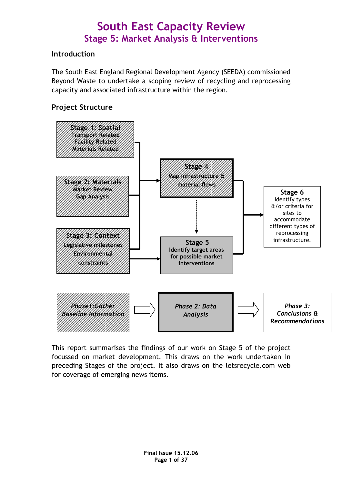### Introduction

The South East England Regional Development Agency (SEEDA) commissioned Beyond Waste to undertake a scoping review of recycling and reprocessing capacity and associated infrastructure within the region.

### Project Structure



This report summarises the findings of our work on Stage 5 of the project focussed on market development. This draws on the work undertaken in preceding Stages of the project. It also draws on the letsrecycle.com web for coverage of emerging news items.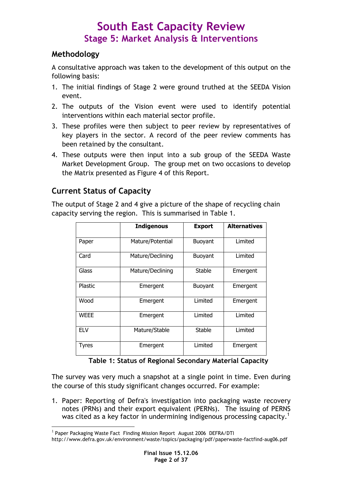### Methodology

A consultative approach was taken to the development of this output on the following basis:

- 1. The initial findings of Stage 2 were ground truthed at the SEEDA Vision event.
- 2. The outputs of the Vision event were used to identify potential interventions within each material sector profile.
- 3. These profiles were then subject to peer review by representatives of key players in the sector. A record of the peer review comments has been retained by the consultant.
- 4. These outputs were then input into a sub group of the SEEDA Waste Market Development Group. The group met on two occasions to develop the Matrix presented as Figure 4 of this Report.

### Current Status of Capacity

The output of Stage 2 and 4 give a picture of the shape of recycling chain capacity serving the region. This is summarised in Table 1.

|             | <b>Indigenous</b> | <b>Export</b> | <b>Alternatives</b> |
|-------------|-------------------|---------------|---------------------|
| Paper       | Mature/Potential  | Buoyant       | Limited             |
| Card        | Mature/Declining  | Buoyant       | Limited             |
| Glass       | Mature/Declining  | <b>Stable</b> | Emergent            |
| Plastic     | Emergent          | Buoyant       | Emergent            |
| Wood        | Emergent          | Limited       | Emergent            |
| <b>WEEE</b> | Emergent          | Limited       | Limited             |
| <b>ELV</b>  | Mature/Stable     | <b>Stable</b> | Limited             |
| Tyres       | Emergent          | Limited       | Emergent            |

Table 1: Status of Regional Secondary Material Capacity

The survey was very much a snapshot at a single point in time. Even during the course of this study significant changes occurred. For example:

1. Paper: Reporting of Defra's investigation into packaging waste recovery notes (PRNs) and their export equivalent (PERNs). The issuing of PERNS was cited as a key factor in undermining indigenous processing capacity.<sup>1</sup>

 $\overline{a}$ <sup>1</sup> Paper Packaging Waste Fact Finding Mission Report August 2006 DEFRA/DTI

http://www.defra.gov.uk/environment/waste/topics/packaging/pdf/paperwaste-factfind-aug06.pdf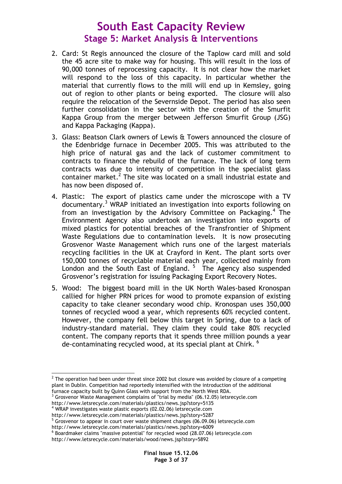- 2. Card: St Regis announced the closure of the Taplow card mill and sold the 45 acre site to make way for housing. This will result in the loss of 90,000 tonnes of reprocessing capacity. It is not clear how the market will respond to the loss of this capacity. In particular whether the material that currently flows to the mill will end up in Kemsley, going out of region to other plants or being exported. The closure will also require the relocation of the Severnside Depot. The period has also seen further consolidation in the sector with the creation of the Smurfit Kappa Group from the merger between Jefferson Smurfit Group (JSG) and Kappa Packaging (Kappa).
- 3. Glass: Beatson Clark owners of Lewis & Towers announced the closure of the Edenbridge furnace in December 2005. This was attributed to the high price of natural gas and the lack of customer commitment to contracts to finance the rebuild of the furnace. The lack of long term contracts was due to intensity of competition in the specialist glass container market.<sup>2</sup> The site was located on a small industrial estate and has now been disposed of.
- 4. Plastic: The export of plastics came under the microscope with a TV documentary.<sup>3</sup> WRAP initiated an investigation into exports following on from an investigation by the Advisory Committee on Packaging.<sup>4</sup> The Environment Agency also undertook an investigation into exports of mixed plastics for potential breaches of the Transfrontier of Shipment Waste Regulations due to contamination levels. It is now prosecuting Grosvenor Waste Management which runs one of the largest materials recycling facilities in the UK at Crayford in Kent. The plant sorts over 150,000 tonnes of recyclable material each year, collected mainly from London and the South East of England.<sup>5</sup> The Agency also suspended Grosvenor's registration for issuing Packaging Export Recovery Notes.
- 5. Wood: The biggest board mill in the UK North Wales-based Kronospan callied for higher PRN prices for wood to promote expansion of existing capacity to take cleaner secondary wood chip. Kronospan uses 350,000 tonnes of recycled wood a year, which represents 60% recycled content. However, the company fell below this target in Spring, due to a lack of industry-standard material. They claim they could take 80% recycled content. The company reports that it spends three million pounds a year de-contaminating recycled wood, at its special plant at Chirk.<sup>6</sup>

4 WRAP investigates waste plastic exports (02.02.06) letsrecycle.com

 $\overline{a}$ 

 $^{\rm 2}$  The operation had been under threat since 2002 but closure was avoided by closure of a competing plant in Dublin. Competition had reportedly intensified with the introduction of the additional furnace capacity built by Quinn Glass with support from the North West RDA.

 $3$  Grosvenor Waste Management complains of "trial by media" (06.12.05) letsrecycle.com http://www.letsrecycle.com/materials/plastics/news.jsp?story=5135

http://www.letsrecycle.com/materials/plastics/news.jsp?story=5287<br><sup>5</sup> Grosvenor to appear in court over waste shipment charges (06.09.06) letsrecycle.com

http://www.letsrecycle.com/materials/plastics/news.jsp?story=6009

<sup>&</sup>lt;sup>6</sup> Boardmaker claims "massive potential" for recycled wood (28.07.06) letsrecycle.com

http://www.letsrecycle.com/materials/wood/news.jsp?story=5892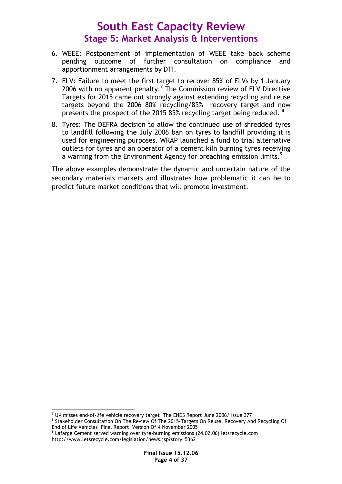- 6. WEEE: Postponement of implementation of WEEE take back scheme pending outcome of further consultation on compliance and apportionment arrangements by DTI.
- 7. ELV: Failure to meet the first target to recover 85% of ELVs by 1 January 2006 with no apparent penalty.<sup>7</sup> The Commission review of ELV Directive Targets for 2015 came out strongly against extending recycling and reuse targets beyond the 2006 80% recycling/85% recovery target and now presents the prospect of the 2015 85% recycling target being reduced. <sup>8</sup>
- 8. Tyres: The DEFRA decision to allow the continued use of shredded tyres to landfill following the July 2006 ban on tyres to landfill providing it is used for engineering purposes. WRAP launched a fund to trial alternative outlets for tyres and an operator of a cement kiln burning tyres receiving a warning from the Environment Agency for breaching emission limits.<sup>9</sup>

The above examples demonstrate the dynamic and uncertain nature of the secondary materials markets and illustrates how problematic it can be to predict future market conditions that will promote investment.

 7 UK misses end-of-life vehicle recovery target The ENDS Report June 2006/ Issue 377 <sup>8</sup> Stakeholder Consultation On The Review Of The 2015-Targets On Reuse, Recovery And Recycling Of End of Life Vehicles Final Report Version Of 4 November 2005

<sup>&</sup>lt;sup>9</sup> Lafarge Cement served warning over tyre-burning emissions (24.02.06) letsrecycle.com http://www.letsrecycle.com/legislation/news.jsp?story=5362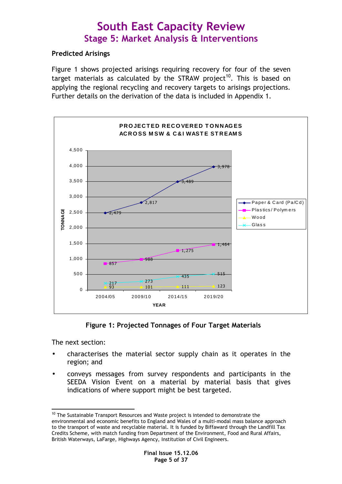### Predicted Arisings

Figure 1 shows projected arisings requiring recovery for four of the seven target materials as calculated by the STRAW project<sup>10</sup>. This is based on applying the regional recycling and recovery targets to arisings projections. Further details on the derivation of the data is included in Appendix 1.



Figure 1: Projected Tonnages of Four Target Materials

The next section:

- characterises the material sector supply chain as it operates in the region; and
- conveys messages from survey respondents and participants in the SEEDA Vision Event on a material by material basis that gives indications of where support might be best targeted.

 $\overline{a}$  $10$  The Sustainable Transport Resources and Waste project is intended to demonstrate the environmental and economic benefits to England and Wales of a multi-modal mass balance approach to the transport of waste and recyclable material. It is funded by Biffaward through the Landfill Tax Credits Scheme, with match funding from Department of the Environment, Food and Rural Affairs, British Waterways, LaFarge, Highways Agency, Institution of Civil Engineers.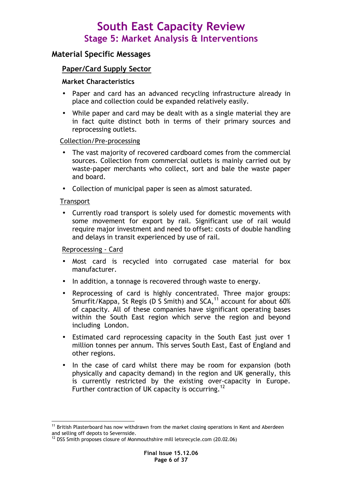### Material Specific Messages

### Paper/Card Supply Sector

#### Market Characteristics

- Paper and card has an advanced recycling infrastructure already in place and collection could be expanded relatively easily.
- While paper and card may be dealt with as a single material they are in fact quite distinct both in terms of their primary sources and reprocessing outlets.

#### Collection/Pre-processing

- The vast majority of recovered cardboard comes from the commercial sources. Collection from commercial outlets is mainly carried out by waste-paper merchants who collect, sort and bale the waste paper and board.
- Collection of municipal paper is seen as almost saturated.

#### **Transport**

 $\overline{a}$ 

• Currently road transport is solely used for domestic movements with some movement for export by rail. Significant use of rail would require major investment and need to offset: costs of double handling and delays in transit experienced by use of rail.

#### Reprocessing - Card

- Most card is recycled into corrugated case material for box manufacturer.
- In addition, a tonnage is recovered through waste to energy.
- Reprocessing of card is highly concentrated. Three major groups: Smurfit/Kappa, St Regis (D S Smith) and  $SCA$ ,<sup>11</sup> account for about 60% of capacity. All of these companies have significant operating bases within the South East region which serve the region and beyond including London.
- Estimated card reprocessing capacity in the South East just over 1 million tonnes per annum. This serves South East, East of England and other regions.
- In the case of card whilst there may be room for expansion (both physically and capacity demand) in the region and UK generally, this is currently restricted by the existing over-capacity in Europe. Further contraction of UK capacity is occurring.<sup>12</sup>

<sup>&</sup>lt;sup>11</sup> British Plasterboard has now withdrawn from the market closing operations in Kent and Aberdeen and selling off depots to Severnside.

<sup>&</sup>lt;sup>12</sup> DSS Smith proposes closure of Monmouthshire mill letsrecycle.com (20.02.06)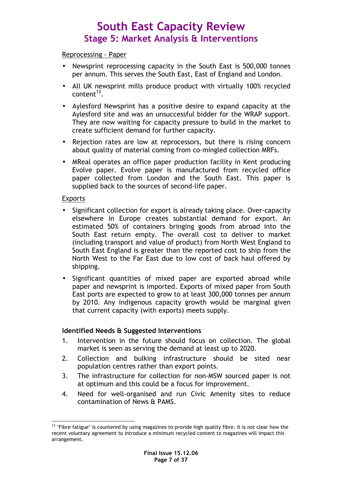#### Reprocessing - Paper

- Newsprint reprocessing capacity in the South East is 500,000 tonnes per annum. This serves the South East, East of England and London.
- All UK newsprint mills produce product with virtually 100% recycled content $^{13}$ .
- Aylesford Newsprint has a positive desire to expand capacity at the Aylesford site and was an unsuccessful bidder for the WRAP support. They are now waiting for capacity pressure to build in the market to create sufficient demand for further capacity.
- Rejection rates are low at reprocessors, but there is rising concern about quality of material coming from co-mingled collection MRFs.
- MReal operates an office paper production facility in Kent producing Evolve paper. Evolve paper is manufactured from recycled office paper collected from London and the South East. This paper is supplied back to the sources of second-life paper.

#### Exports

- Significant collection for export is already taking place. Over-capacity elsewhere in Europe creates substantial demand for export. An estimated 50% of containers bringing goods from abroad into the South East return empty. The overall cost to deliver to market (including transport and value of product) from North West England to South East England is greater than the reported cost to ship from the North West to the Far East due to low cost of back haul offered by shipping.
- Significant quantities of mixed paper are exported abroad while paper and newsprint is imported. Exports of mixed paper from South East ports are expected to grow to at least 300,000 tonnes per annum by 2010. Any indigenous capacity growth would be marginal given that current capacity (with exports) meets supply.

#### Identified Needs & Suggested Interventions

- 1. Intervention in the future should focus on collection. The global market is seen as serving the demand at least up to 2020.
- 2. Collection and bulking infrastructure should be sited near population centres rather than export points.
- 3. The infrastructure for collection for non-MSW sourced paper is not at optimum and this could be a focus for improvement.
- 4. Need for well-organised and run Civic Amenity sites to reduce contamination of News & PAMS.

 $\overline{a}$  $13$  'Fibre fatigue' is countered by using magazines to provide high quality fibre. It is not clear how the recent voluntary agreement to introduce a minimum recycled content to magazines will impact this arrangement.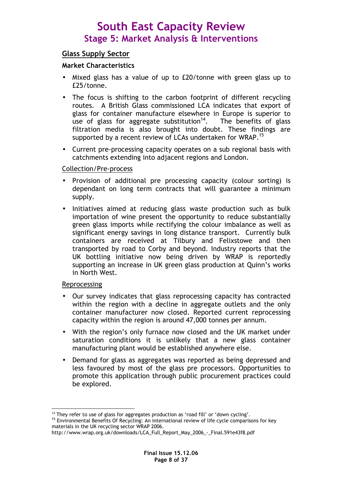### Glass Supply Sector

#### Market Characteristics

- Mixed glass has a value of up to £20/tonne with green glass up to £25/tonne.
- The focus is shifting to the carbon footprint of different recycling routes. A British Glass commissioned LCA indicates that export of glass for container manufacture elsewhere in Europe is superior to use of glass for aggregate substitution<sup>14</sup>. The benefits of glass filtration media is also brought into doubt. These findings are supported by a recent review of LCAs undertaken for WRAP.<sup>15</sup>
- Current pre-processing capacity operates on a sub regional basis with catchments extending into adjacent regions and London.

#### Collection/Pre-process

- Provision of additional pre processing capacity (colour sorting) is dependant on long term contracts that will guarantee a minimum supply.
- Initiatives aimed at reducing glass waste production such as bulk importation of wine present the opportunity to reduce substantially green glass imports while rectifying the colour imbalance as well as significant energy savings in long distance transport. Currently bulk containers are received at Tilbury and Felixstowe and then transported by road to Corby and beyond. Industry reports that the UK bottling initiative now being driven by WRAP is reportedly supporting an increase in UK green glass production at Quinn's works in North West.

#### Reprocessing

- Our survey indicates that glass reprocessing capacity has contracted within the region with a decline in aggregate outlets and the only container manufacturer now closed. Reported current reprocessing capacity within the region is around 47,000 tonnes per annum.
- With the region's only furnace now closed and the UK market under saturation conditions it is unlikely that a new glass container manufacturing plant would be established anywhere else.
- Demand for glass as aggregates was reported as being depressed and less favoured by most of the glass pre processors. Opportunities to promote this application through public procurement practices could be explored.

 $\overline{a}$  $14$  They refer to use of glass for aggregates production as 'road fill' or 'down cycling'.

<sup>&</sup>lt;sup>15</sup> Environmental Benefits Of Recycling: An international review of life cycle comparisons for key materials in the UK recycling sector WRAP 2006.

http://www.wrap.org.uk/downloads/LCA\_Full\_Report\_May\_2006\_-\_Final.591e43f8.pdf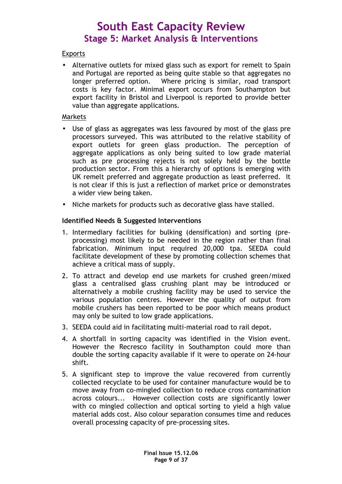### **Exports**

• Alternative outlets for mixed glass such as export for remelt to Spain and Portugal are reported as being quite stable so that aggregates no longer preferred option. Where pricing is similar, road transport costs is key factor. Minimal export occurs from Southampton but export facility in Bristol and Liverpool is reported to provide better value than aggregate applications.

#### Markets

- Use of glass as aggregates was less favoured by most of the glass pre processors surveyed. This was attributed to the relative stability of export outlets for green glass production. The perception of aggregate applications as only being suited to low grade material such as pre processing rejects is not solely held by the bottle production sector. From this a hierarchy of options is emerging with UK remelt preferred and aggregate production as least preferred. It is not clear if this is just a reflection of market price or demonstrates a wider view being taken.
- Niche markets for products such as decorative glass have stalled.

#### Identified Needs & Suggested Interventions

- 1. Intermediary facilities for bulking (densification) and sorting (preprocessing) most likely to be needed in the region rather than final fabrication. Minimum input required 20,000 tpa. SEEDA could facilitate development of these by promoting collection schemes that achieve a critical mass of supply.
- 2. To attract and develop end use markets for crushed green/mixed glass a centralised glass crushing plant may be introduced or alternatively a mobile crushing facility may be used to service the various population centres. However the quality of output from mobile crushers has been reported to be poor which means product may only be suited to low grade applications.
- 3. SEEDA could aid in facilitating multi-material road to rail depot.
- 4. A shortfall in sorting capacity was identified in the Vision event. However the Recresco facility in Southampton could more than double the sorting capacity available if it were to operate on 24-hour shift.
- 5. A significant step to improve the value recovered from currently collected recyclate to be used for container manufacture would be to move away from co-mingled collection to reduce cross contamination across colours... However collection costs are significantly lower with co mingled collection and optical sorting to yield a high value material adds cost. Also colour separation consumes time and reduces overall processing capacity of pre-processing sites.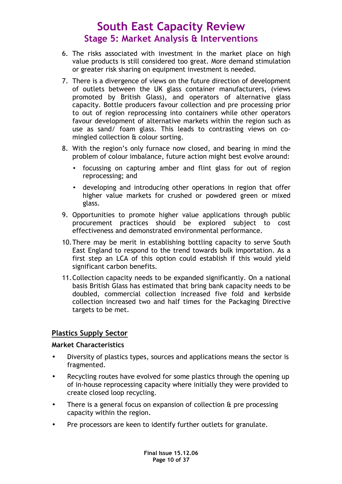- 6. The risks associated with investment in the market place on high value products is still considered too great. More demand stimulation or greater risk sharing on equipment investment is needed.
- 7. There is a divergence of views on the future direction of development of outlets between the UK glass container manufacturers, (views promoted by British Glass), and operators of alternative glass capacity. Bottle producers favour collection and pre processing prior to out of region reprocessing into containers while other operators favour development of alternative markets within the region such as use as sand/ foam glass. This leads to contrasting views on comingled collection & colour sorting.
- 8. With the region's only furnace now closed, and bearing in mind the problem of colour imbalance, future action might best evolve around:
	- focussing on capturing amber and flint glass for out of region reprocessing; and
	- developing and introducing other operations in region that offer higher value markets for crushed or powdered green or mixed glass.
- 9. Opportunities to promote higher value applications through public procurement practices should be explored subject to cost effectiveness and demonstrated environmental performance.
- 10.There may be merit in establishing bottling capacity to serve South East England to respond to the trend towards bulk importation. As a first step an LCA of this option could establish if this would yield significant carbon benefits.
- 11.Collection capacity needs to be expanded significantly. On a national basis British Glass has estimated that bring bank capacity needs to be doubled, commercial collection increased five fold and kerbside collection increased two and half times for the Packaging Directive targets to be met.

### Plastics Supply Sector

#### Market Characteristics

- Diversity of plastics types, sources and applications means the sector is fragmented.
- Recycling routes have evolved for some plastics through the opening up of in-house reprocessing capacity where initially they were provided to create closed loop recycling.
- There is a general focus on expansion of collection & pre processing capacity within the region.
- Pre processors are keen to identify further outlets for granulate.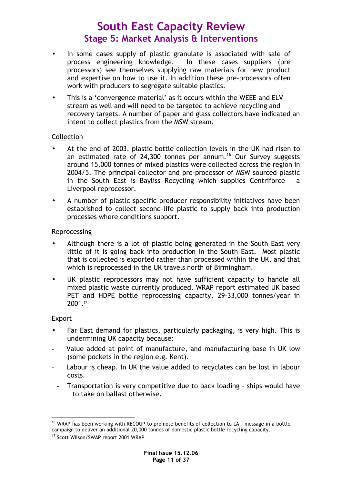- In some cases supply of plastic granulate is associated with sale of process engineering knowledge. In these cases suppliers (pre processors) see themselves supplying raw materials for new product and expertise on how to use it. In addition these pre-processors often work with producers to segregate suitable plastics.
- This is a 'convergence material' as it occurs within the WEEE and ELV stream as well and will need to be targeted to achieve recycling and recovery targets. A number of paper and glass collectors have indicated an intent to collect plastics from the MSW stream.

### Collection

- At the end of 2003, plastic bottle collection levels in the UK had risen to an estimated rate of 24,300 tonnes per annum.<sup>16</sup> Our Survey suggests around 15,000 tonnes of mixed plastics were collected across the region in 2004/5. The principal collector and pre-processor of MSW sourced plastic in the South East is Bayliss Recycling which supplies Centriforce - a Liverpool reprocessor.
- A number of plastic specific producer responsibility initiatives have been established to collect second-life plastic to supply back into production processes where conditions support.

#### Reprocessing

- Although there is a lot of plastic being generated in the South East very little of it is going back into production in the South East. Most plastic that is collected is exported rather than processed within the UK, and that which is reprocessed in the UK travels north of Birmingham.
- UK plastic reprocessors may not have sufficient capacity to handle all mixed plastic waste currently produced. WRAP report estimated UK based PET and HDPE bottle reprocessing capacity, 29-33,000 tonnes/year in 2001. 17

#### Export

- Far East demand for plastics, particularly packaging, is very high. This is undermining UK capacity because:
- Value added at point of manufacture, and manufacturing base in UK low (some pockets in the region e.g. Kent).
- Labour is cheap. In UK the value added to recyclates can be lost in labour costs.
	- Transportation is very competitive due to back loading ships would have to take on ballast otherwise.

 $\overline{a}$ <sup>16</sup> WRAP has been working with RECOUP to promote benefits of collection to LA - message in a bottle campaign to deliver an additional 20,000 tonnes of domestic plastic bottle recycling capacity.

<sup>&</sup>lt;sup>17</sup> Scott Wilson/SWAP report 2001 WRAP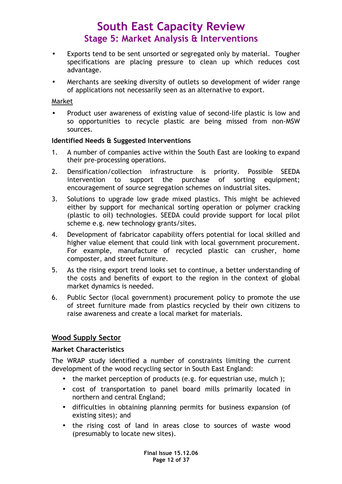- Exports tend to be sent unsorted or segregated only by material. Tougher specifications are placing pressure to clean up which reduces cost advantage.
- Merchants are seeking diversity of outlets so development of wider range of applications not necessarily seen as an alternative to export.

#### Market

• Product user awareness of existing value of second-life plastic is low and so opportunities to recycle plastic are being missed from non-MSW sources.

#### Identified Needs & Suggested Interventions

- 1. A number of companies active within the South East are looking to expand their pre-processing operations.
- 2. Densification/collection infrastructure is priority. Possible SEEDA intervention to support the purchase of sorting equipment; encouragement of source segregation schemes on industrial sites.
- 3. Solutions to upgrade low grade mixed plastics. This might be achieved either by support for mechanical sorting operation or polymer cracking (plastic to oil) technologies. SEEDA could provide support for local pilot scheme e.g. new technology grants/sites.
- 4. Development of fabricator capability offers potential for local skilled and higher value element that could link with local government procurement. For example, manufacture of recycled plastic can crusher, home composter, and street furniture.
- 5. As the rising export trend looks set to continue, a better understanding of the costs and benefits of export to the region in the context of global market dynamics is needed.
- 6. Public Sector (local government) procurement policy to promote the use of street furniture made from plastics recycled by their own citizens to raise awareness and create a local market for materials.

#### Wood Supply Sector

#### Market Characteristics

The WRAP study identified a number of constraints limiting the current development of the wood recycling sector in South East England:

- the market perception of products (e.g. for equestrian use, mulch );
- cost of transportation to panel board mills primarily located in northern and central England;
- difficulties in obtaining planning permits for business expansion (of existing sites); and
- the rising cost of land in areas close to sources of waste wood (presumably to locate new sites).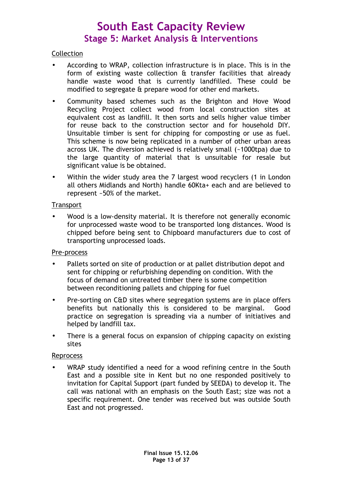### **Collection**

- According to WRAP, collection infrastructure is in place. This is in the form of existing waste collection & transfer facilities that already handle waste wood that is currently landfilled. These could be modified to segregate & prepare wood for other end markets.
- Community based schemes such as the Brighton and Hove Wood Recycling Project collect wood from local construction sites at equivalent cost as landfill. It then sorts and sells higher value timber for reuse back to the construction sector and for household DIY. Unsuitable timber is sent for chipping for composting or use as fuel. This scheme is now being replicated in a number of other urban areas across UK. The diversion achieved is relatively small (~1000tpa) due to the large quantity of material that is unsuitable for resale but significant value is be obtained.
- Within the wider study area the 7 largest wood recyclers (1 in London all others Midlands and North) handle 60Kta+ each and are believed to represent ~50% of the market.

#### **Transport**

• Wood is a low-density material. It is therefore not generally economic for unprocessed waste wood to be transported long distances. Wood is chipped before being sent to Chipboard manufacturers due to cost of transporting unprocessed loads.

#### Pre-process

- Pallets sorted on site of production or at pallet distribution depot and sent for chipping or refurbishing depending on condition. With the focus of demand on untreated timber there is some competition between reconditioning pallets and chipping for fuel
- Pre-sorting on C&D sites where segregation systems are in place offers benefits but nationally this is considered to be marginal. Good practice on segregation is spreading via a number of initiatives and helped by landfill tax.
- There is a general focus on expansion of chipping capacity on existing sites

#### Reprocess

WRAP study identified a need for a wood refining centre in the South East and a possible site in Kent but no one responded positively to invitation for Capital Support (part funded by SEEDA) to develop it. The call was national with an emphasis on the South East; size was not a specific requirement. One tender was received but was outside South East and not progressed.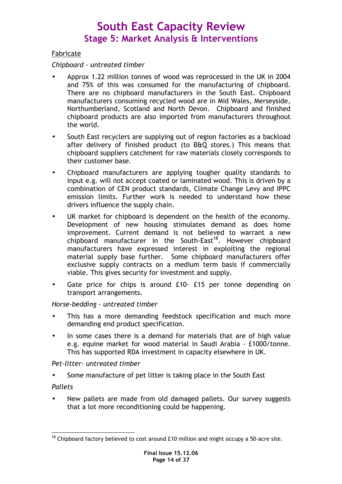### Fabricate

### Chipboard - untreated timber

- Approx 1.22 million tonnes of wood was reprocessed in the UK in 2004 and 75% of this was consumed for the manufacturing of chipboard. There are no chipboard manufacturers in the South East. Chipboard manufacturers consuming recycled wood are in Mid Wales, Merseyside, Northumberland, Scotland and North Devon. Chipboard and finished chipboard products are also imported from manufacturers throughout the world.
- South East recyclers are supplying out of region factories as a backload after delivery of finished product (to B&Q stores.) This means that chipboard suppliers catchment for raw materials closely corresponds to their customer base.
- Chipboard manufacturers are applying tougher quality standards to input e.g. will not accept coated or laminated wood. This is driven by a combination of CEN product standards, Climate Change Levy and IPPC emission limits. Further work is needed to understand how these drivers influence the supply chain.
- UK market for chipboard is dependent on the health of the economy. Development of new housing stimulates demand as does home improvement. Current demand is not believed to warrant a new chipboard manufacturer in the South-East<sup>18</sup>. However chipboard manufacturers have expressed interest in exploiting the regional material supply base further. Some chipboard manufacturers offer exclusive supply contracts on a medium term basis if commercially viable. This gives security for investment and supply.
- Gate price for chips is around £10- £15 per tonne depending on transport arrangements.

### Horse-bedding - untreated timber

- This has a more demanding feedstock specification and much more demanding end product specification.
- In some cases there is a demand for materials that are of high value e.g. equine market for wood material in Saudi Arabia - £1000/tonne. This has supported RDA investment in capacity elsewhere in UK.

#### Pet-litter- untreated timber

- Some manufacture of pet litter is taking place in the South East Pallets
- 
- New pallets are made from old damaged pallets. Our survey suggests that a lot more reconditioning could be happening.

 $\overline{a}$  $18$  Chipboard factory believed to cost around £10 million and might occupy a 50-acre site.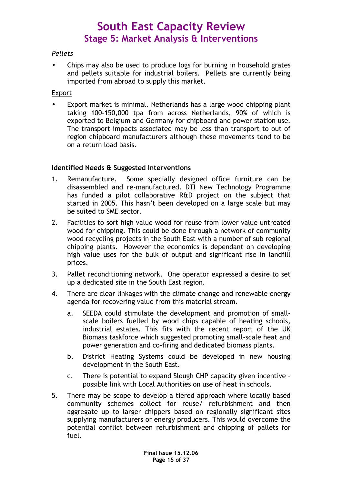### Pellets

• Chips may also be used to produce logs for burning in household grates and pellets suitable for industrial boilers. Pellets are currently being imported from abroad to supply this market.

#### Export

• Export market is minimal. Netherlands has a large wood chipping plant taking 100-150,000 tpa from across Netherlands, 90% of which is exported to Belgium and Germany for chipboard and power station use. The transport impacts associated may be less than transport to out of region chipboard manufacturers although these movements tend to be on a return load basis.

### Identified Needs & Suggested Interventions

- 1. Remanufacture. Some specially designed office furniture can be disassembled and re-manufactured. DTI New Technology Programme has funded a pilot collaborative R&D project on the subject that started in 2005. This hasn't been developed on a large scale but may be suited to SME sector.
- 2. Facilities to sort high value wood for reuse from lower value untreated wood for chipping. This could be done through a network of community wood recycling projects in the South East with a number of sub regional chipping plants. However the economics is dependant on developing high value uses for the bulk of output and significant rise in landfill prices.
- 3. Pallet reconditioning network. One operator expressed a desire to set up a dedicated site in the South East region.
- 4. There are clear linkages with the climate change and renewable energy agenda for recovering value from this material stream.
	- a. SEEDA could stimulate the development and promotion of smallscale boilers fuelled by wood chips capable of heating schools, industrial estates. This fits with the recent report of the UK Biomass taskforce which suggested promoting small-scale heat and power generation and co-firing and dedicated biomass plants.
	- b. District Heating Systems could be developed in new housing development in the South East.
	- c. There is potential to expand Slough CHP capacity given incentive possible link with Local Authorities on use of heat in schools.
- 5. There may be scope to develop a tiered approach where locally based community schemes collect for reuse/ refurbishment and then aggregate up to larger chippers based on regionally significant sites supplying manufacturers or energy producers. This would overcome the potential conflict between refurbishment and chipping of pallets for fuel.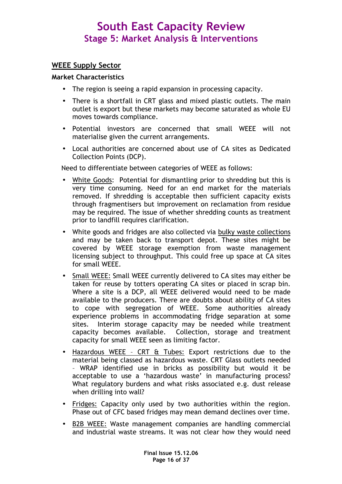### WEEE Supply Sector

#### Market Characteristics

- The region is seeing a rapid expansion in processing capacity.
- There is a shortfall in CRT glass and mixed plastic outlets. The main outlet is export but these markets may become saturated as whole EU moves towards compliance.
- Potential investors are concerned that small WEEE will not materialise given the current arrangements.
- Local authorities are concerned about use of CA sites as Dedicated Collection Points (DCP).

Need to differentiate between categories of WEEE as follows:

- White Goods: Potential for dismantling prior to shredding but this is very time consuming. Need for an end market for the materials removed. If shredding is acceptable then sufficient capacity exists through fragmentisers but improvement on reclamation from residue may be required. The issue of whether shredding counts as treatment prior to landfill requires clarification.
- White goods and fridges are also collected via bulky waste collections and may be taken back to transport depot. These sites might be covered by WEEE storage exemption from waste management licensing subject to throughput. This could free up space at CA sites for small WEEE.
- Small WEEE: Small WEEE currently delivered to CA sites may either be taken for reuse by totters operating CA sites or placed in scrap bin. Where a site is a DCP, all WEEE delivered would need to be made available to the producers. There are doubts about ability of CA sites to cope with segregation of WEEE. Some authorities already experience problems in accommodating fridge separation at some sites. Interim storage capacity may be needed while treatment capacity becomes available. Collection, storage and treatment capacity for small WEEE seen as limiting factor.
- Hazardous WEEE CRT & Tubes: Export restrictions due to the material being classed as hazardous waste. CRT Glass outlets needed – WRAP identified use in bricks as possibility but would it be acceptable to use a 'hazardous waste' in manufacturing process? What regulatory burdens and what risks associated e.g. dust release when drilling into wall?
- Fridges: Capacity only used by two authorities within the region. Phase out of CFC based fridges may mean demand declines over time.
- B2B WEEE: Waste management companies are handling commercial and industrial waste streams. It was not clear how they would need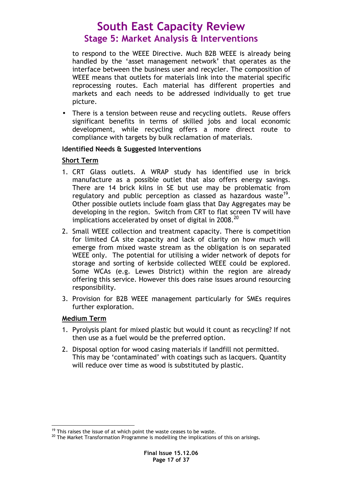to respond to the WEEE Directive. Much B2B WEEE is already being handled by the 'asset management network' that operates as the interface between the business user and recycler. The composition of WEEE means that outlets for materials link into the material specific reprocessing routes. Each material has different properties and markets and each needs to be addressed individually to get true picture.

• There is a tension between reuse and recycling outlets. Reuse offers significant benefits in terms of skilled jobs and local economic development, while recycling offers a more direct route to compliance with targets by bulk reclamation of materials.

#### Identified Needs & Suggested Interventions

### Short Term

- 1. CRT Glass outlets. A WRAP study has identified use in brick manufacture as a possible outlet that also offers energy savings. There are 14 brick kilns in SE but use may be problematic from regulatory and public perception as classed as hazardous waste<sup>19</sup>. Other possible outlets include foam glass that Day Aggregates may be developing in the region. Switch from CRT to flat screen TV will have implications accelerated by onset of digital in 2008. $^{20}$
- 2. Small WEEE collection and treatment capacity. There is competition for limited CA site capacity and lack of clarity on how much will emerge from mixed waste stream as the obligation is on separated WEEE only. The potential for utilising a wider network of depots for storage and sorting of kerbside collected WEEE could be explored. Some WCAs (e.g. Lewes District) within the region are already offering this service. However this does raise issues around resourcing responsibility.
- 3. Provision for B2B WEEE management particularly for SMEs requires further exploration.

#### Medium Term

- 1. Pyrolysis plant for mixed plastic but would it count as recycling? If not then use as a fuel would be the preferred option.
- 2. Disposal option for wood casing materials if landfill not permitted. This may be 'contaminated' with coatings such as lacquers. Quantity will reduce over time as wood is substituted by plastic.

 $\overline{a}$  $19$  This raises the issue of at which point the waste ceases to be waste.

<sup>&</sup>lt;sup>20</sup> The Market Transformation Programme is modelling the implications of this on arisings.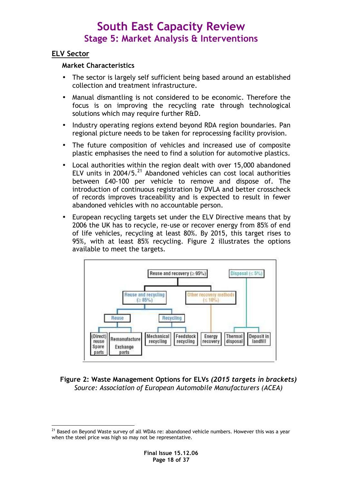### ELV Sector

### Market Characteristics

- The sector is largely self sufficient being based around an established collection and treatment infrastructure.
- Manual dismantling is not considered to be economic. Therefore the focus is on improving the recycling rate through technological solutions which may require further R&D.
- Industry operating regions extend beyond RDA region boundaries. Pan regional picture needs to be taken for reprocessing facility provision.
- The future composition of vehicles and increased use of composite plastic emphasises the need to find a solution for automotive plastics.
- Local authorities within the region dealt with over 15,000 abandoned ELV units in  $2004/5$ <sup>21</sup> Abandoned vehicles can cost local authorities between £40-100 per vehicle to remove and dispose of. The introduction of continuous registration by DVLA and better crosscheck of records improves traceability and is expected to result in fewer abandoned vehicles with no accountable person.
- European recycling targets set under the ELV Directive means that by 2006 the UK has to recycle, re-use or recover energy from 85% of end of life vehicles, recycling at least 80%. By 2015, this target rises to 95%, with at least 85% recycling. Figure 2 illustrates the options available to meet the targets.



### Figure 2: Waste Management Options for ELVs (2015 targets in brackets) Source: Association of European Automobile Manufacturers (ACEA)

 $\overline{a}$  $^{21}$  Based on Beyond Waste survey of all WDAs re: abandoned vehicle numbers. However this was a year when the steel price was high so may not be representative.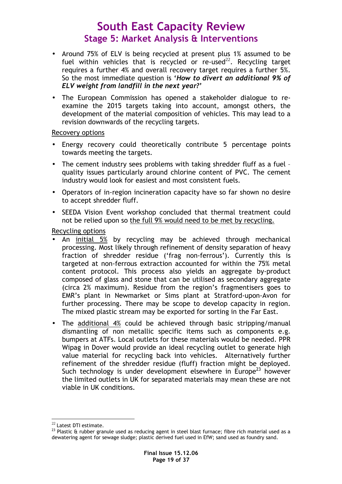- Around 75% of ELV is being recycled at present plus 1% assumed to be fuel within vehicles that is recycled or re-used<sup>22</sup>. Recycling target requires a further 4% and overall recovery target requires a further 5%. So the most immediate question is 'How to divert an additional 9% of ELV weight from landfill in the next year?'
- The European Commission has opened a stakeholder dialogue to reexamine the 2015 targets taking into account, amongst others, the development of the material composition of vehicles. This may lead to a revision downwards of the recycling targets.

#### Recovery options

- Energy recovery could theoretically contribute 5 percentage points towards meeting the targets.
- The cement industry sees problems with taking shredder fluff as a fuel quality issues particularly around chlorine content of PVC. The cement industry would look for easiest and most consistent fuels.
- Operators of in-region incineration capacity have so far shown no desire to accept shredder fluff.
- SEEDA Vision Event workshop concluded that thermal treatment could not be relied upon so the full 9% would need to be met by recycling.

Recycling options

- An initial 5% by recycling may be achieved through mechanical processing. Most likely through refinement of density separation of heavy fraction of shredder residue ('frag non-ferrous'). Currently this is targeted at non-ferrous extraction accounted for within the 75% metal content protocol. This process also yields an aggregate by-product composed of glass and stone that can be utilised as secondary aggregate (circa 2% maximum). Residue from the region's fragmentisers goes to EMR's plant in Newmarket or Sims plant at Stratford-upon-Avon for further processing. There may be scope to develop capacity in region. The mixed plastic stream may be exported for sorting in the Far East.
- The additional 4% could be achieved through basic stripping/manual dismantling of non metallic specific items such as components e.g. bumpers at ATFs. Local outlets for these materials would be needed. PPR Wipag in Dover would provide an ideal recycling outlet to generate high value material for recycling back into vehicles. Alternatively further refinement of the shredder residue (fluff) fraction might be deployed. Such technology is under development elsewhere in Europe<sup>23</sup> however the limited outlets in UK for separated materials may mean these are not viable in UK conditions.

 $\overline{a}$  $^{22}$  Latest DTI estimate.

 $^{23}$  Plastic & rubber granule used as reducing agent in steel blast furnace; fibre rich material used as a dewatering agent for sewage sludge; plastic derived fuel used in EfW; sand used as foundry sand.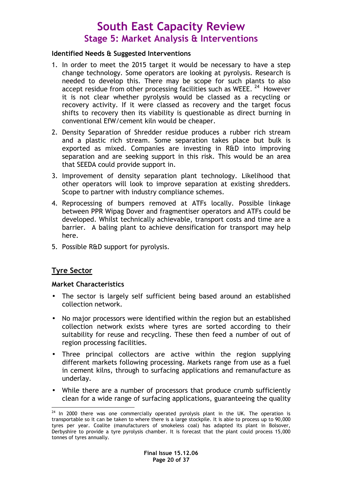#### Identified Needs & Suggested Interventions

- 1. In order to meet the 2015 target it would be necessary to have a step change technology. Some operators are looking at pyrolysis. Research is needed to develop this. There may be scope for such plants to also accept residue from other processing facilities such as WEEE. <sup>24</sup> However it is not clear whether pyrolysis would be classed as a recycling or recovery activity. If it were classed as recovery and the target focus shifts to recovery then its viability is questionable as direct burning in conventional EfW/cement kiln would be cheaper.
- 2. Density Separation of Shredder residue produces a rubber rich stream and a plastic rich stream. Some separation takes place but bulk is exported as mixed. Companies are investing in R&D into improving separation and are seeking support in this risk. This would be an area that SEEDA could provide support in.
- 3. Improvement of density separation plant technology. Likelihood that other operators will look to improve separation at existing shredders. Scope to partner with industry compliance schemes.
- 4. Reprocessing of bumpers removed at ATFs locally. Possible linkage between PPR Wipag Dover and fragmentiser operators and ATFs could be developed. Whilst technically achievable, transport costs and time are a barrier. A baling plant to achieve densification for transport may help here.
- 5. Possible R&D support for pyrolysis.

### Tyre Sector

#### Market Characteristics

- The sector is largely self sufficient being based around an established collection network.
- No major processors were identified within the region but an established collection network exists where tyres are sorted according to their suitability for reuse and recycling. These then feed a number of out of region processing facilities.
- Three principal collectors are active within the region supplying different markets following processing. Markets range from use as a fuel in cement kilns, through to surfacing applications and remanufacture as underlay.
- While there are a number of processors that produce crumb sufficiently clean for a wide range of surfacing applications, guaranteeing the quality

 $\overline{a}$  $24$  In 2000 there was one commercially operated pyrolysis plant in the UK. The operation is transportable so it can be taken to where there is a large stockpile. It is able to process up to 90,000 tyres per year. Coalite (manufacturers of smokeless coal) has adapted its plant in Bolsover, Derbyshire to provide a tyre pyrolysis chamber. It is forecast that the plant could process 15,000 tonnes of tyres annually.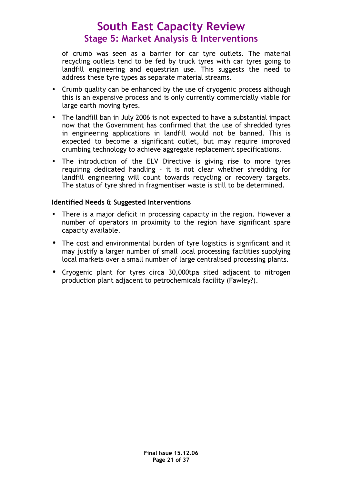of crumb was seen as a barrier for car tyre outlets. The material recycling outlets tend to be fed by truck tyres with car tyres going to landfill engineering and equestrian use. This suggests the need to address these tyre types as separate material streams.

- Crumb quality can be enhanced by the use of cryogenic process although this is an expensive process and is only currently commercially viable for large earth moving tyres.
- The landfill ban in July 2006 is not expected to have a substantial impact now that the Government has confirmed that the use of shredded tyres in engineering applications in landfill would not be banned. This is expected to become a significant outlet, but may require improved crumbing technology to achieve aggregate replacement specifications.
- The introduction of the ELV Directive is giving rise to more tyres requiring dedicated handling – it is not clear whether shredding for landfill engineering will count towards recycling or recovery targets. The status of tyre shred in fragmentiser waste is still to be determined.

### Identified Needs & Suggested Interventions

- There is a major deficit in processing capacity in the region. However a number of operators in proximity to the region have significant spare capacity available.
- The cost and environmental burden of tyre logistics is significant and it may justify a larger number of small local processing facilities supplying local markets over a small number of large centralised processing plants.
- Cryogenic plant for tyres circa 30,000tpa sited adjacent to nitrogen production plant adjacent to petrochemicals facility (Fawley?).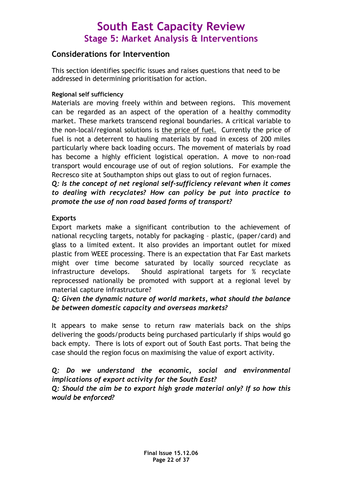### Considerations for Intervention

This section identifies specific issues and raises questions that need to be addressed in determining prioritisation for action.

### Regional self sufficiency

Materials are moving freely within and between regions. This movement can be regarded as an aspect of the operation of a healthy commodity market. These markets transcend regional boundaries. A critical variable to the non-local/regional solutions is the price of fuel. Currently the price of fuel is not a deterrent to hauling materials by road in excess of 200 miles particularly where back loading occurs. The movement of materials by road has become a highly efficient logistical operation. A move to non-road transport would encourage use of out of region solutions. For example the Recresco site at Southampton ships out glass to out of region furnaces.

Q: Is the concept of net regional self-sufficiency relevant when it comes to dealing with recyclates? How can policy be put into practice to promote the use of non road based forms of transport?

### Exports

Export markets make a significant contribution to the achievement of national recycling targets, notably for packaging – plastic, (paper/card) and glass to a limited extent. It also provides an important outlet for mixed plastic from WEEE processing. There is an expectation that Far East markets might over time become saturated by locally sourced recyclate as infrastructure develops. Should aspirational targets for % recyclate reprocessed nationally be promoted with support at a regional level by material capture infrastructure?

### Q: Given the dynamic nature of world markets, what should the balance be between domestic capacity and overseas markets?

It appears to make sense to return raw materials back on the ships delivering the goods/products being purchased particularly if ships would go back empty. There is lots of export out of South East ports. That being the case should the region focus on maximising the value of export activity.

### Q: Do we understand the economic, social and environmental implications of export activity for the South East?

### Q: Should the aim be to export high grade material only? If so how this would be enforced?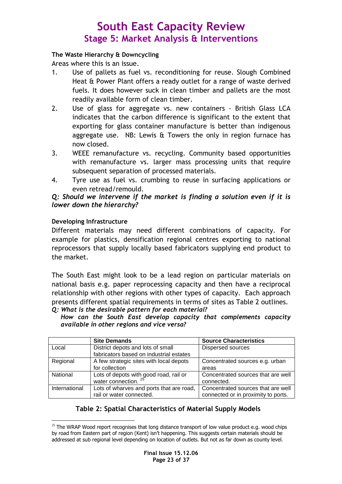#### The Waste Hierarchy & Downcycling

Areas where this is an issue.

- 1. Use of pallets as fuel vs. reconditioning for reuse. Slough Combined Heat & Power Plant offers a ready outlet for a range of waste derived fuels. It does however suck in clean timber and pallets are the most readily available form of clean timber.
- 2. Use of glass for aggregate vs. new containers British Glass LCA indicates that the carbon difference is significant to the extent that exporting for glass container manufacture is better than indigenous aggregate use. NB: Lewis & Towers the only in region furnace has now closed.
- 3. WEEE remanufacture vs. recycling. Community based opportunities with remanufacture vs. larger mass processing units that require subsequent separation of processed materials.
- 4. Tyre use as fuel vs. crumbing to reuse in surfacing applications or even retread/remould.

### Q: Should we intervene if the market is finding a solution even if it is lower down the hierarchy?

### Developing Infrastructure

Different materials may need different combinations of capacity. For example for plastics, densification regional centres exporting to national reprocessors that supply locally based fabricators supplying end product to the market.

The South East might look to be a lead region on particular materials on national basis e.g. paper reprocessing capacity and then have a reciprocal relationship with other regions with other types of capacity. Each approach presents different spatial requirements in terms of sites as Table 2 outlines. Q: What is the desirable pattern for each material?

How can the South East develop capacity that complements capacity available in other regions and vice versa?

|               | <b>Site Demands</b>                      | <b>Source Characteristics</b>       |
|---------------|------------------------------------------|-------------------------------------|
| Local         | District depots and lots of small        | <b>Dispersed sources</b>            |
|               | fabricators based on industrial estates  |                                     |
| Regional      | A few strategic sites with local depots  | Concentrated sources e.g. urban     |
|               | for collection                           | areas                               |
| National      | Lots of depots with good road, rail or   | Concentrated sources that are well  |
|               | water connection. <sup>25</sup>          | connected.                          |
| International | Lots of wharves and ports that are road, | Concentrated sources that are well  |
|               | rail or water connected.                 | connected or in proximity to ports. |

### Table 2: Spatial Characteristics of Material Supply Models

 $\overline{a}$  $25$  The WRAP Wood report recognises that long distance transport of low value product e.g. wood chips by road from Eastern part of region (Kent) isn't happening. This suggests certain materials should be addressed at sub regional level depending on location of outlets. But not as far down as county level.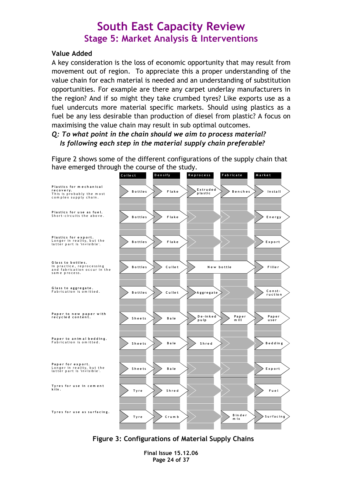#### Value Added

A key consideration is the loss of economic opportunity that may result from movement out of region. To appreciate this a proper understanding of the value chain for each material is needed and an understanding of substitution opportunities. For example are there any carpet underlay manufacturers in the region? And if so might they take crumbed tyres? Like exports use as a fuel undercuts more material specific markets. Should using plastics as a fuel be any less desirable than production of diesel from plastic? A focus on maximising the value chain may result in sub optimal outcomes.

### Q: To what point in the chain should we aim to process material? Is following each step in the material supply chain preferable?

Figure 2 shows some of the different configurations of the supply chain that have emerged through the course of the study.



Figure 3: Configurations of Material Supply Chains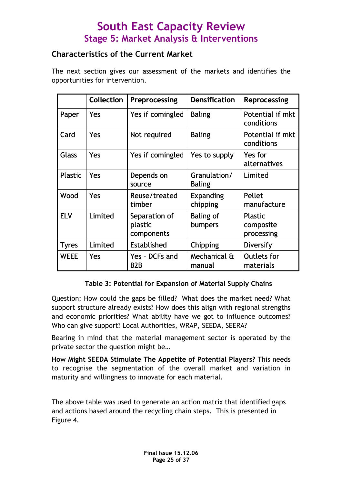### Characteristics of the Current Market

The next section gives our assessment of the markets and identifies the opportunities for intervention.

|                | <b>Collection</b> | Preprocessing                          | <b>Densification</b>          | <b>Reprocessing</b>                       |
|----------------|-------------------|----------------------------------------|-------------------------------|-------------------------------------------|
| Paper          | Yes               | Yes if comingled                       | <b>Baling</b>                 | Potential if mkt<br>conditions            |
| Card           | Yes               | Not required                           | <b>Baling</b>                 | Potential if mkt<br>conditions            |
| <b>Glass</b>   | Yes               | Yes if comingled                       | Yes to supply                 | Yes for<br>alternatives                   |
| <b>Plastic</b> | Yes               | Depends on<br>source                   | Granulation/<br><b>Baling</b> | Limited                                   |
| Wood           | Yes               | Reuse/treated<br>timber                | <b>Expanding</b><br>chipping  | Pellet<br>manufacture                     |
| <b>ELV</b>     | Limited           | Separation of<br>plastic<br>components | <b>Baling of</b><br>bumpers   | <b>Plastic</b><br>composite<br>processing |
| <b>Tyres</b>   | Limited           | Established                            | Chipping                      | Diversify                                 |
| <b>WEEE</b>    | Yes               | Yes - DCFs and<br>B <sub>2</sub> B     | Mechanical &<br>manual        | <b>Outlets for</b><br>materials           |

### Table 3: Potential for Expansion of Material Supply Chains

Question: How could the gaps be filled? What does the market need? What support structure already exists? How does this align with regional strengths and economic priorities? What ability have we got to influence outcomes? Who can give support? Local Authorities, WRAP, SEEDA, SEERA?

Bearing in mind that the material management sector is operated by the private sector the question might be…

How Might SEEDA Stimulate The Appetite of Potential Players? This needs to recognise the segmentation of the overall market and variation in maturity and willingness to innovate for each material.

The above table was used to generate an action matrix that identified gaps and actions based around the recycling chain steps. This is presented in Figure 4.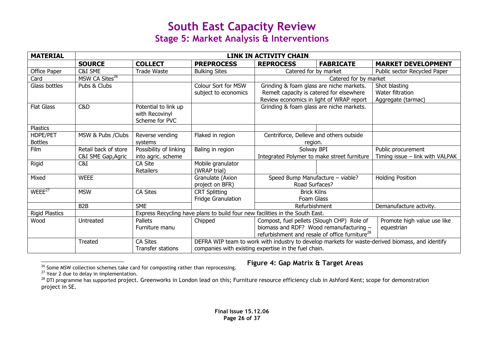| <b>MATERIAL</b>            | <b>LINK IN ACTIVITY CHAIN</b>              |                                                          |                                                                              |                                                                                                                                                                                                  |                       |                                                         |  |  |  |  |
|----------------------------|--------------------------------------------|----------------------------------------------------------|------------------------------------------------------------------------------|--------------------------------------------------------------------------------------------------------------------------------------------------------------------------------------------------|-----------------------|---------------------------------------------------------|--|--|--|--|
|                            | <b>SOURCE</b>                              | <b>COLLECT</b>                                           | <b>PREPROCESS</b>                                                            | <b>FABRICATE</b><br><b>REPROCESS</b>                                                                                                                                                             |                       | <b>MARKET DEVELOPMENT</b>                               |  |  |  |  |
| Office Paper               | C&I SME                                    | <b>Trade Waste</b>                                       | <b>Bulking Sites</b>                                                         | Catered for by market                                                                                                                                                                            |                       | Public sector Recycled Paper                            |  |  |  |  |
| Card                       | MSW CA Sites <sup>26</sup>                 |                                                          |                                                                              |                                                                                                                                                                                                  | Catered for by market |                                                         |  |  |  |  |
| Glass bottles              | Pubs & Clubs                               |                                                          | Colour Sort for MSW<br>subject to economics                                  | Grinding & foam glass are niche markets.<br>Remelt capacity is catered for elsewhere<br>Review economics in light of WRAP report                                                                 |                       | Shot blasting<br>Water filtration<br>Aggregate (tarmac) |  |  |  |  |
| <b>Flat Glass</b>          | C&D                                        | Potential to link up<br>with Recovinyl<br>Scheme for PVC |                                                                              | Grinding & foam glass are niche markets.                                                                                                                                                         |                       |                                                         |  |  |  |  |
| <b>Plastics</b>            |                                            |                                                          |                                                                              |                                                                                                                                                                                                  |                       |                                                         |  |  |  |  |
| HDPE/PET<br><b>Bottles</b> | MSW & Pubs / Clubs                         | Reverse vending<br>systems                               | Flaked in region                                                             | Centriforce, Delleve and others outside<br>region.                                                                                                                                               |                       |                                                         |  |  |  |  |
| Film                       | Retail back of store<br>C&I SME Gap, Agric | Possibility of linking<br>into agric. scheme             | Baling in region                                                             | Solway BPI<br>Integrated Polymer to make street furniture                                                                                                                                        |                       | Public procurement<br>Timing issue - link with VALPAK   |  |  |  |  |
| Rigid                      | C&I                                        | CA Site<br><b>Retailers</b>                              | Mobile granulator<br>(WRAP trial)                                            |                                                                                                                                                                                                  |                       |                                                         |  |  |  |  |
| Mixed                      | <b>WEEE</b>                                |                                                          | Granulate (Axion<br>project on BFR)                                          | Speed Bump Manufacture - viable?<br>Road Surfaces?                                                                                                                                               |                       | <b>Holding Position</b>                                 |  |  |  |  |
| WEEE <sup>27</sup>         | <b>MSW</b>                                 | <b>CA Sites</b>                                          | <b>CRT Splitting</b><br>Fridge Granulation                                   | <b>Brick Kilns</b><br>Foam Glass                                                                                                                                                                 |                       |                                                         |  |  |  |  |
|                            | B <sub>2</sub> B                           | <b>SME</b>                                               |                                                                              | Refurbishment                                                                                                                                                                                    |                       | Demanufacture activity.                                 |  |  |  |  |
| <b>Rigid Plastics</b>      |                                            |                                                          | Express Recycling have plans to build four new facilities in the South East. |                                                                                                                                                                                                  |                       |                                                         |  |  |  |  |
| Wood                       | Untreated                                  | Pallets<br>Furniture manu                                | Chipped                                                                      | Promote high value use like<br>Compost, fuel pellets (Slough CHP) Role of<br>biomass and RDF? Wood remanufacturing -<br>equestrian<br>refurbishment and resale of office furniture <sup>28</sup> |                       |                                                         |  |  |  |  |
|                            | <b>Treated</b>                             | <b>CA Sites</b><br>Transfer stations                     |                                                                              | DEFRA WIP team to work with industry to develop markets for waste-derived biomass, and identify<br>companies with existing expertise in the fuel chain.                                          |                       |                                                         |  |  |  |  |

<sup>&</sup>lt;sup>26</sup> Some MSW collection schemes take card for composting rather than reprocessing.<br><sup>27</sup> Year 2 due to delay in implementation.

### Figure 4: Gap Matrix & Target Areas

 $^{28}$  DTI programme has supported project. Greenworks in London lead on this; Furniture resource efficiency club in Ashford Kent; scope for demonstration project in SE.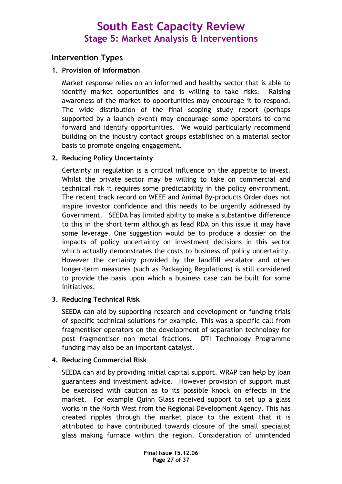### Intervention Types

### 1. Provision of Information

Market response relies on an informed and healthy sector that is able to identify market opportunities and is willing to take risks. Raising awareness of the market to opportunities may encourage it to respond. The wide distribution of the final scoping study report (perhaps supported by a launch event) may encourage some operators to come forward and identify opportunities. We would particularly recommend building on the industry contact groups established on a material sector basis to promote ongoing engagement.

### 2. Reducing Policy Uncertainty

Certainty in regulation is a critical influence on the appetite to invest. Whilst the private sector may be willing to take on commercial and technical risk it requires some predictability in the policy environment. The recent track record on WEEE and Animal By-products Order does not inspire investor confidence and this needs to be urgently addressed by Government. SEEDA has limited ability to make a substantive difference to this in the short term although as lead RDA on this issue it may have some leverage. One suggestion would be to produce a dossier on the impacts of policy uncertainty on investment decisions in this sector which actually demonstrates the costs to business of policy uncertainty. However the certainty provided by the landfill escalator and other longer-term measures (such as Packaging Regulations) is still considered to provide the basis upon which a business case can be built for some initiatives.

### 3. Reducing Technical Risk

SEEDA can aid by supporting research and development or funding trials of specific technical solutions for example. This was a specific call from fragmentiser operators on the development of separation technology for post fragmentiser non metal fractions. DTI Technology Programme funding may also be an important catalyst.

### 4. Reducing Commercial Risk

SEEDA can aid by providing initial capital support. WRAP can help by loan guarantees and investment advice. However provision of support must be exercised with caution as to its possible knock on effects in the market. For example Quinn Glass received support to set up a glass works in the North West from the Regional Development Agency. This has created ripples through the market place to the extent that it is attributed to have contributed towards closure of the small specialist glass making furnace within the region. Consideration of unintended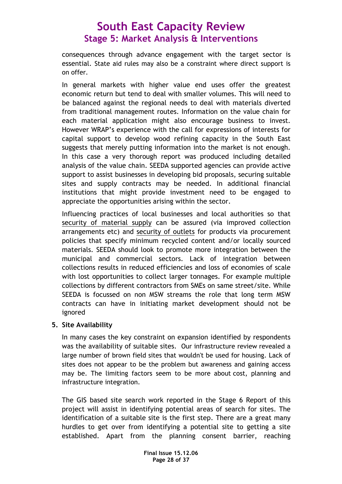consequences through advance engagement with the target sector is essential. State aid rules may also be a constraint where direct support is on offer.

In general markets with higher value end uses offer the greatest economic return but tend to deal with smaller volumes. This will need to be balanced against the regional needs to deal with materials diverted from traditional management routes. Information on the value chain for each material application might also encourage business to invest. However WRAP's experience with the call for expressions of interests for capital support to develop wood refining capacity in the South East suggests that merely putting information into the market is not enough. In this case a very thorough report was produced including detailed analysis of the value chain. SEEDA supported agencies can provide active support to assist businesses in developing bid proposals, securing suitable sites and supply contracts may be needed. In additional financial institutions that might provide investment need to be engaged to appreciate the opportunities arising within the sector.

Influencing practices of local businesses and local authorities so that security of material supply can be assured (via improved collection arrangements etc) and security of outlets for products via procurement policies that specify minimum recycled content and/or locally sourced materials. SEEDA should look to promote more integration between the municipal and commercial sectors. Lack of integration between collections results in reduced efficiencies and loss of economies of scale with lost opportunities to collect larger tonnages. For example multiple collections by different contractors from SMEs on same street/site. While SEEDA is focussed on non MSW streams the role that long term MSW contracts can have in initiating market development should not be ignored

### 5. Site Availability

In many cases the key constraint on expansion identified by respondents was the availability of suitable sites. Our infrastructure review revealed a large number of brown field sites that wouldn't be used for housing. Lack of sites does not appear to be the problem but awareness and gaining access may be. The limiting factors seem to be more about cost, planning and infrastructure integration.

The GIS based site search work reported in the Stage 6 Report of this project will assist in identifying potential areas of search for sites. The identification of a suitable site is the first step. There are a great many hurdles to get over from identifying a potential site to getting a site established. Apart from the planning consent barrier, reaching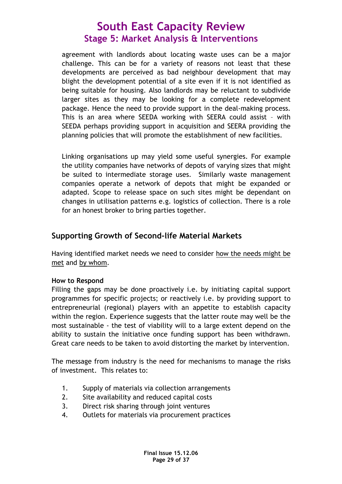agreement with landlords about locating waste uses can be a major challenge. This can be for a variety of reasons not least that these developments are perceived as bad neighbour development that may blight the development potential of a site even if it is not identified as being suitable for housing. Also landlords may be reluctant to subdivide larger sites as they may be looking for a complete redevelopment package. Hence the need to provide support in the deal-making process. This is an area where SEEDA working with SEERA could assist – with SEEDA perhaps providing support in acquisition and SEERA providing the planning policies that will promote the establishment of new facilities.

Linking organisations up may yield some useful synergies. For example the utility companies have networks of depots of varying sizes that might be suited to intermediate storage uses. Similarly waste management companies operate a network of depots that might be expanded or adapted. Scope to release space on such sites might be dependant on changes in utilisation patterns e.g. logistics of collection. There is a role for an honest broker to bring parties together.

### Supporting Growth of Second-life Material Markets

Having identified market needs we need to consider how the needs might be met and by whom.

### How to Respond

Filling the gaps may be done proactively i.e. by initiating capital support programmes for specific projects; or reactively i.e. by providing support to entrepreneurial (regional) players with an appetite to establish capacity within the region. Experience suggests that the latter route may well be the most sustainable - the test of viability will to a large extent depend on the ability to sustain the initiative once funding support has been withdrawn. Great care needs to be taken to avoid distorting the market by intervention.

The message from industry is the need for mechanisms to manage the risks of investment. This relates to:

- 1. Supply of materials via collection arrangements
- 2. Site availability and reduced capital costs
- 3. Direct risk sharing through joint ventures
- 4. Outlets for materials via procurement practices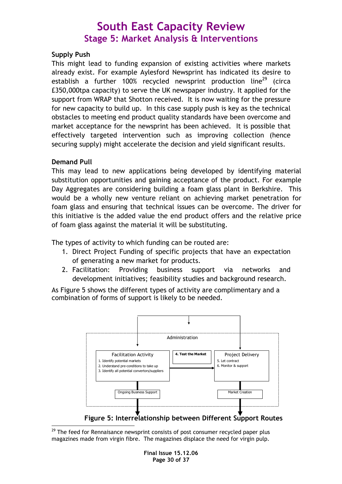### Supply Push

This might lead to funding expansion of existing activities where markets already exist. For example Aylesford Newsprint has indicated its desire to establish a further 100% recycled newsprint production line<sup>29</sup> (circa £350,000tpa capacity) to serve the UK newspaper industry. It applied for the support from WRAP that Shotton received. It is now waiting for the pressure for new capacity to build up. In this case supply push is key as the technical obstacles to meeting end product quality standards have been overcome and market acceptance for the newsprint has been achieved. It is possible that effectively targeted intervention such as improving collection (hence securing supply) might accelerate the decision and yield significant results.

### Demand Pull

This may lead to new applications being developed by identifying material substitution opportunities and gaining acceptance of the product. For example Day Aggregates are considering building a foam glass plant in Berkshire. This would be a wholly new venture reliant on achieving market penetration for foam glass and ensuring that technical issues can be overcome. The driver for this initiative is the added value the end product offers and the relative price of foam glass against the material it will be substituting.

The types of activity to which funding can be routed are:

- 1. Direct Project Funding of specific projects that have an expectation of generating a new market for products.
- 2. Facilitation: Providing business support via networks and development initiatives; feasibility studies and background research.

As Figure 5 shows the different types of activity are complimentary and a combination of forms of support is likely to be needed.



Figure 5: Interrelationship between Different Support Routes

 $\overline{a}$ <sup>29</sup> The feed for Rennaisance newsprint consists of post consumer recycled paper plus magazines made from virgin fibre. The magazines displace the need for virgin pulp.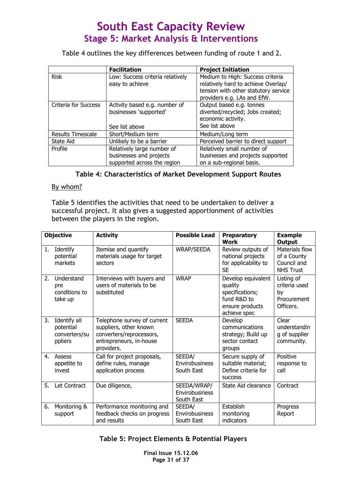Table 4 outlines the key differences between funding of route 1 and 2.

|                             | <b>Facilitation</b>                                                                  | <b>Project Initiation</b>                                                                                                                      |
|-----------------------------|--------------------------------------------------------------------------------------|------------------------------------------------------------------------------------------------------------------------------------------------|
| <b>Risk</b>                 | Low: Success criteria relatively<br>easy to achieve                                  | Medium to High: Success criteria<br>relatively hard to achieve Overlap/<br>tension with other statutory service<br>providers e.g. LAs and EfW. |
| <b>Criteria for Success</b> | Activity based e.g. number of<br>businesses 'supported'<br>See list above            | Output based e.g. tonnes<br>diverted/recycled; Jobs created;<br>economic activity.<br>See list above                                           |
| <b>Results Timescale</b>    | Short/Medium term                                                                    | Medium/Long term                                                                                                                               |
| State Aid                   | Unlikely to be a barrier                                                             | Perceived barrier to direct support                                                                                                            |
| Profile                     | Relatively large number of<br>businesses and projects<br>supported across the region | Relatively small number of<br>businesses and projects supported<br>on a sub-regional basis.                                                    |

Table 4: Characteristics of Market Development Support Routes

#### By whom?

Table 5 identifies the activities that need to be undertaken to deliver a successful project. It also gives a suggested apportionment of activities between the players in the region.

|    | <b>Objective</b>                                      | <b>Activity</b>                                                                                                            | <b>Possible Lead</b>                        | <b>Preparatory</b><br><b>Work</b>                                                                  | <b>Example</b><br>Output                                         |  |
|----|-------------------------------------------------------|----------------------------------------------------------------------------------------------------------------------------|---------------------------------------------|----------------------------------------------------------------------------------------------------|------------------------------------------------------------------|--|
| 1. | Identify<br>potential<br>markets                      | Itemise and quantify<br>materials usage for target<br>sectors                                                              | <b>WRAP/SEEDA</b>                           | Review outputs of<br>national projects<br>for applicability to<br><b>SE</b>                        | Materials flow<br>of a County<br>Council and<br><b>NHS Trust</b> |  |
| 2. | Understand<br>pre<br>conditions to<br>take up         | Interviews with buyers and<br>users of materials to be<br>substituted                                                      | <b>WRAP</b>                                 | Develop equivalent<br>quality<br>specifications;<br>fund R&D to<br>ensure products<br>achieve spec | Listing of<br>criteria used<br>by<br>Procurement<br>Officers.    |  |
| 3. | Identify all<br>potential<br>converters/su<br>ppliers | Telephone survey of current<br>suppliers, other known<br>converters/reprocessors,<br>entrepreneurs, in-house<br>providers. | <b>SEEDA</b>                                | Develop<br>communications<br>strategy; Build up<br>sector contact<br>groups                        | Clear<br>understandin<br>g of supplier<br>community.             |  |
| 4. | Assess<br>appetite to<br>invest                       | Call for project proposals,<br>define rules, manage<br>application process                                                 | SEEDA/<br>Envirobusiness<br>South East      | Secure supply of<br>suitable material;<br>Define criteria for<br><b>SUCCESS</b>                    | Positive<br>response to<br>call                                  |  |
| 5. | Let Contract                                          | Due diligence,                                                                                                             | SEEDA/WRAP/<br>Envirobusiness<br>South East | State Aid clearance                                                                                | Contract                                                         |  |
| 6. | Monitoring &<br>support                               | Performance monitoring and<br>feedback checks on progress<br>and results                                                   | SEEDA/<br>Envirobusiness<br>South East      | Establish<br>monitoring<br>indicators                                                              | Progress<br>Report                                               |  |

### Table 5: Project Elements & Potential Players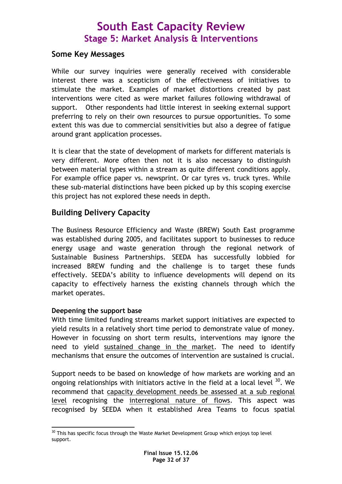### Some Key Messages

While our survey inquiries were generally received with considerable interest there was a scepticism of the effectiveness of initiatives to stimulate the market. Examples of market distortions created by past interventions were cited as were market failures following withdrawal of support. Other respondents had little interest in seeking external support preferring to rely on their own resources to pursue opportunities. To some extent this was due to commercial sensitivities but also a degree of fatigue around grant application processes.

It is clear that the state of development of markets for different materials is very different. More often then not it is also necessary to distinguish between material types within a stream as quite different conditions apply. For example office paper vs. newsprint. Or car tyres vs. truck tyres. While these sub-material distinctions have been picked up by this scoping exercise this project has not explored these needs in depth.

### Building Delivery Capacity

The Business Resource Efficiency and Waste (BREW) South East programme was established during 2005, and facilitates support to businesses to reduce energy usage and waste generation through the regional network of Sustainable Business Partnerships. SEEDA has successfully lobbied for increased BREW funding and the challenge is to target these funds effectively. SEEDA's ability to influence developments will depend on its capacity to effectively harness the existing channels through which the market operates.

### Deepening the support base

With time limited funding streams market support initiatives are expected to yield results in a relatively short time period to demonstrate value of money. However in focussing on short term results, interventions may ignore the need to yield sustained change in the market. The need to identify mechanisms that ensure the outcomes of intervention are sustained is crucial.

Support needs to be based on knowledge of how markets are working and an ongoing relationships with initiators active in the field at a local level  $30$ . We recommend that capacity development needs be assessed at a sub regional level recognising the interregional nature of flows. This aspect was recognised by SEEDA when it established Area Teams to focus spatial

 $\overline{a}$  $30$  This has specific focus through the Waste Market Development Group which enjoys top level support.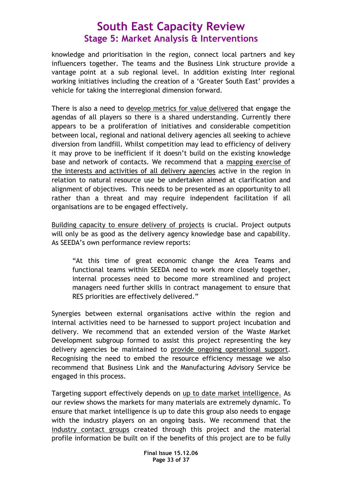knowledge and prioritisation in the region, connect local partners and key influencers together. The teams and the Business Link structure provide a vantage point at a sub regional level. In addition existing Inter regional working initiatives including the creation of a 'Greater South East' provides a vehicle for taking the interregional dimension forward.

There is also a need to develop metrics for value delivered that engage the agendas of all players so there is a shared understanding. Currently there appears to be a proliferation of initiatives and considerable competition between local, regional and national delivery agencies all seeking to achieve diversion from landfill. Whilst competition may lead to efficiency of delivery it may prove to be inefficient if it doesn't build on the existing knowledge base and network of contacts. We recommend that a mapping exercise of the interests and activities of all delivery agencies active in the region in relation to natural resource use be undertaken aimed at clarification and alignment of objectives. This needs to be presented as an opportunity to all rather than a threat and may require independent facilitation if all organisations are to be engaged effectively.

Building capacity to ensure delivery of projects is crucial. Project outputs will only be as good as the delivery agency knowledge base and capability. As SEEDA's own performance review reports:

"At this time of great economic change the Area Teams and functional teams within SEEDA need to work more closely together, internal processes need to become more streamlined and project managers need further skills in contract management to ensure that RES priorities are effectively delivered."

Synergies between external organisations active within the region and internal activities need to be harnessed to support project incubation and delivery. We recommend that an extended version of the Waste Market Development subgroup formed to assist this project representing the key delivery agencies be maintained to provide ongoing operational support. Recognising the need to embed the resource efficiency message we also recommend that Business Link and the Manufacturing Advisory Service be engaged in this process.

Targeting support effectively depends on up to date market intelligence. As our review shows the markets for many materials are extremely dynamic. To ensure that market intelligence is up to date this group also needs to engage with the industry players on an ongoing basis. We recommend that the industry contact groups created through this project and the material profile information be built on if the benefits of this project are to be fully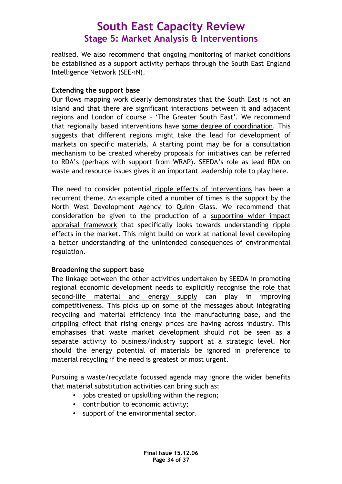realised. We also recommend that ongoing monitoring of market conditions be established as a support activity perhaps through the South East England Intelligence Network (SEE-iN).

### Extending the support base

Our flows mapping work clearly demonstrates that the South East is not an island and that there are significant interactions between it and adjacent regions and London of course – 'The Greater South East'. We recommend that regionally based interventions have some degree of coordination. This suggests that different regions might take the lead for development of markets on specific materials. A starting point may be for a consultation mechanism to be created whereby proposals for initiatives can be referred to RDA's (perhaps with support from WRAP). SEEDA's role as lead RDA on waste and resource issues gives it an important leadership role to play here.

The need to consider potential ripple effects of interventions has been a recurrent theme. An example cited a number of times is the support by the North West Development Agency to Quinn Glass. We recommend that consideration be given to the production of a supporting wider impact appraisal framework that specifically looks towards understanding ripple effects in the market. This might build on work at national level developing a better understanding of the unintended consequences of environmental regulation.

### Broadening the support base

The linkage between the other activities undertaken by SEEDA in promoting regional economic development needs to explicitly recognise the role that second-life material and energy supply can play in improving competitiveness. This picks up on some of the messages about integrating recycling and material efficiency into the manufacturing base, and the crippling effect that rising energy prices are having across industry. This emphasises that waste market development should not be seen as a separate activity to business/industry support at a strategic level. Nor should the energy potential of materials be ignored in preference to material recycling if the need is greatest or most urgent.

Pursuing a waste/recyclate focussed agenda may ignore the wider benefits that material substitution activities can bring such as:

- jobs created or upskilling within the region;
- contribution to economic activity;
- support of the environmental sector.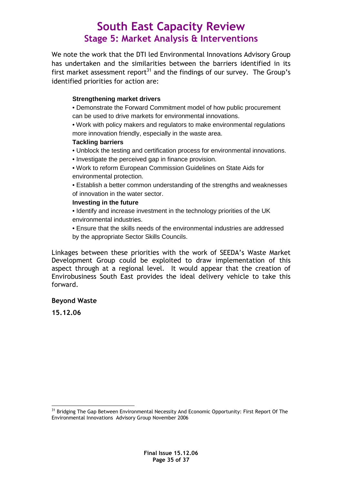We note the work that the DTI led Environmental Innovations Advisory Group has undertaken and the similarities between the barriers identified in its first market assessment report<sup>31</sup> and the findings of our survey. The Group's identified priorities for action are:

#### **Strengthening market drivers**

• Demonstrate the Forward Commitment model of how public procurement can be used to drive markets for environmental innovations.

• Work with policy makers and regulators to make environmental regulations more innovation friendly, especially in the waste area.

#### **Tackling barriers**

- Unblock the testing and certification process for environmental innovations.
- Investigate the perceived gap in finance provision.
- Work to reform European Commission Guidelines on State Aids for environmental protection.

• Establish a better common understanding of the strengths and weaknesses of innovation in the water sector.

#### **Investing in the future**

• Identify and increase investment in the technology priorities of the UK environmental industries.

• Ensure that the skills needs of the environmental industries are addressed by the appropriate Sector Skills Councils.

Linkages between these priorities with the work of SEEDA's Waste Market Development Group could be exploited to draw implementation of this aspect through at a regional level. It would appear that the creation of Envirobusiness South East provides the ideal delivery vehicle to take this forward.

#### Beyond Waste

15.12.06

 $\overline{a}$ <sup>31</sup> Bridging The Gap Between Environmental Necessity And Economic Opportunity: First Report Of The Environmental Innovations Advisory Group November 2006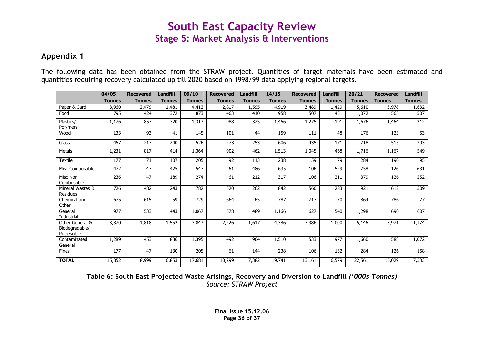### Appendix 1

The following data has been obtained from the STRAW project. Quantities of target materials have been estimated and quantities requiring recovery calculated up till 2020 based on 1998/99 data applying regional targets.

|                                                  | 04/05         | <b>Recovered</b> | <b>Landfill</b> | 09/10            | <b>Recovered</b> | <b>Landfill</b> | 14/15            | <b>Recovered</b> | <b>Landfill</b> | 20/21         | <b>Recovered</b> | <b>Landfill</b> |
|--------------------------------------------------|---------------|------------------|-----------------|------------------|------------------|-----------------|------------------|------------------|-----------------|---------------|------------------|-----------------|
|                                                  | <b>Tonnes</b> | <b>Tonnes</b>    | <b>Tonnes</b>   | <b>Tonnes</b>    | <b>Tonnes</b>    | <b>Tonnes</b>   | <b>Tonnes</b>    | <b>Tonnes</b>    | <b>Tonnes</b>   | <b>Tonnes</b> | <b>Tonnes</b>    | <b>Tonnes</b>   |
| Paper & Card                                     | 3,960         | 2,479            | 1,481           | 4,412            | 2,817            | 1,595           | 4,919            | 3,489            | 1,429           | 5,610         | 3,978            | 1,632           |
| Food                                             | 795           | 424              | 372             | 873              | 463              | 410             | 958              | 507              | 451             | 1,072         | 565              | 507             |
| Plastics/<br>Polymers                            | 1,176         | 857              | 320             | 1,313            | 988              | 325             | 1,466            | 1,275            | 191             | 1,676         | 1,464            | 212             |
| Wood                                             | 133           | 93               | 41              | 145              | 101              | 44              | 159              | 111              | 48              | 176           | 123              | $\overline{53}$ |
| Glass                                            | 457           | 217              | 240             | 526              | $\overline{273}$ | 253             | 606              | 435              | 171             | 718           | $\overline{515}$ | 203             |
| <b>Metals</b>                                    | 1,231         | 817              | 414             | 1,364            | 902              | 462             | 1,513            | 1,045            | 468             | 1,716         | 1,167            | 549             |
| <b>Textile</b>                                   | 177           | 71               | 107             | 205              | 92               | 113             | 238              | 159              | 79              | 284           | 190              | 95              |
| Misc Combustible                                 | 472           | 47               | 425             | 547              | 61               | 486             | 635              | 106              | 529             | 758           | 126              | 631             |
| Misc Non<br>Combustible                          | 236           | 47               | 189             | $\overline{274}$ | 61               | 212             | $\overline{317}$ | 106              | 211             | 379           | 126              | 252             |
| Mineral Wastes &<br>Residues                     | 726           | 482              | 243             | 782              | 520              | 262             | 842              | 560              | 283             | 921           | 612              | 309             |
| Chemical and<br>Other                            | 675           | 615              | 59              | 729              | 664              | 65              | 787              | 717              | 70              | 864           | 786              | $\overline{77}$ |
| General<br>Industrial                            | 977           | 533              | 443             | 1,067            | 578              | 489             | 1,166            | 627              | 540             | 1,298         | 690              | 607             |
| Other General &<br>Biodegradable/<br>Putrescible | 3,370         | 1,818            | 1,552           | 3,843            | 2,226            | 1,617           | 4,386            | 3,386            | 1,000           | 5,146         | 3,971            | 1,174           |
| Contaminated<br>General                          | 1,289         | 453              | 836             | 1,395            | 492              | 904             | 1,510            | $\overline{533}$ | 977             | 1,660         | 588              | 1,072           |
| <b>Fines</b>                                     | 177           | 47               | 130             | 205              | 61               | 144             | 238              | 106              | 132             | 284           | 126              | 158             |
| <b>TOTAL</b>                                     | 15,852        | 8,999            | 6,853           | 17,681           | 10,299           | 7,382           | 19,741           | 13,161           | 6,579           | 22,561        | 15,029           | 7,533           |

Table 6: South East Projected Waste Arisings, Recovery and Diversion to Landfill ('000s Tonnes)Source: STRAW Project